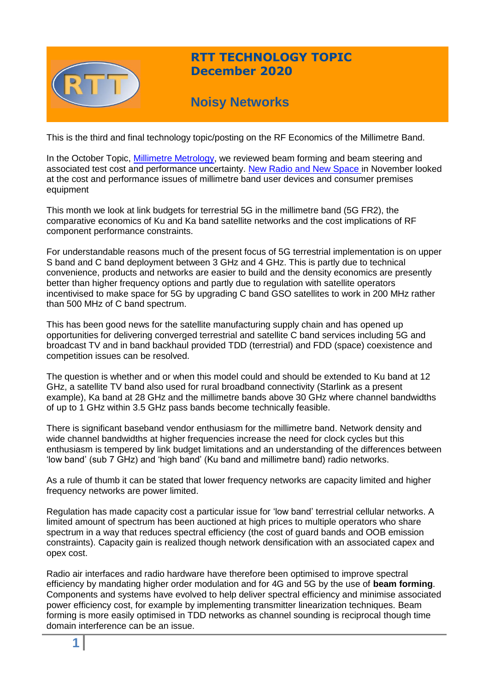

## **RTT TECHNOLOGY TOPIC December 2020**

# **Noisy Networks**

This is the third and final technology topic/posting on the RF Economics of the Millimetre Band.

In the October Topic, [Millimetre Metrology,](https://www.rttonline.com/tt/TT2020_010.pdf) we reviewed beam forming and beam steering and associated test cost and performance uncertainty. [New Radio and New Space i](https://www.rttonline.com/tt/TT2020_011.pdf)n November looked at the cost and performance issues of millimetre band user devices and consumer premises equipment

This month we look at link budgets for terrestrial 5G in the millimetre band (5G FR2), the comparative economics of Ku and Ka band satellite networks and the cost implications of RF component performance constraints.

For understandable reasons much of the present focus of 5G terrestrial implementation is on upper S band and C band deployment between 3 GHz and 4 GHz. This is partly due to technical convenience, products and networks are easier to build and the density economics are presently better than higher frequency options and partly due to regulation with satellite operators incentivised to make space for 5G by upgrading C band GSO satellites to work in 200 MHz rather than 500 MHz of C band spectrum.

This has been good news for the satellite manufacturing supply chain and has opened up opportunities for delivering converged terrestrial and satellite C band services including 5G and broadcast TV and in band backhaul provided TDD (terrestrial) and FDD (space) coexistence and competition issues can be resolved.

The question is whether and or when this model could and should be extended to Ku band at 12 GHz, a satellite TV band also used for rural broadband connectivity (Starlink as a present example), Ka band at 28 GHz and the millimetre bands above 30 GHz where channel bandwidths of up to 1 GHz within 3.5 GHz pass bands become technically feasible.

There is significant baseband vendor enthusiasm for the millimetre band. Network density and wide channel bandwidths at higher frequencies increase the need for clock cycles but this enthusiasm is tempered by link budget limitations and an understanding of the differences between 'low band' (sub 7 GHz) and 'high band' (Ku band and millimetre band) radio networks.

As a rule of thumb it can be stated that lower frequency networks are capacity limited and higher frequency networks are power limited.

Regulation has made capacity cost a particular issue for 'low band' terrestrial cellular networks. A limited amount of spectrum has been auctioned at high prices to multiple operators who share spectrum in a way that reduces spectral efficiency (the cost of guard bands and OOB emission constraints). Capacity gain is realized though network densification with an associated capex and opex cost.

Radio air interfaces and radio hardware have therefore been optimised to improve spectral efficiency by mandating higher order modulation and for 4G and 5G by the use of **beam forming**. Components and systems have evolved to help deliver spectral efficiency and minimise associated power efficiency cost, for example by implementing transmitter linearization techniques. Beam forming is more easily optimised in TDD networks as channel sounding is reciprocal though time domain interference can be an issue.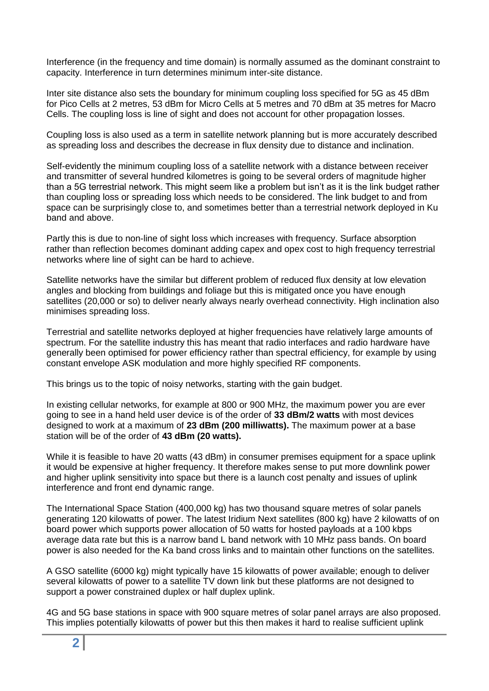Interference (in the frequency and time domain) is normally assumed as the dominant constraint to capacity. Interference in turn determines minimum inter-site distance.

Inter site distance also sets the boundary for minimum coupling loss specified for 5G as 45 dBm for Pico Cells at 2 metres, 53 dBm for Micro Cells at 5 metres and 70 dBm at 35 metres for Macro Cells. The coupling loss is line of sight and does not account for other propagation losses.

Coupling loss is also used as a term in satellite network planning but is more accurately described as spreading loss and describes the decrease in flux density due to distance and inclination.

Self-evidently the minimum coupling loss of a satellite network with a distance between receiver and transmitter of several hundred kilometres is going to be several orders of magnitude higher than a 5G terrestrial network. This might seem like a problem but isn't as it is the link budget rather than coupling loss or spreading loss which needs to be considered. The link budget to and from space can be surprisingly close to, and sometimes better than a terrestrial network deployed in Ku band and above.

Partly this is due to non-line of sight loss which increases with frequency. Surface absorption rather than reflection becomes dominant adding capex and opex cost to high frequency terrestrial networks where line of sight can be hard to achieve.

Satellite networks have the similar but different problem of reduced flux density at low elevation angles and blocking from buildings and foliage but this is mitigated once you have enough satellites (20,000 or so) to deliver nearly always nearly overhead connectivity. High inclination also minimises spreading loss.

Terrestrial and satellite networks deployed at higher frequencies have relatively large amounts of spectrum. For the satellite industry this has meant that radio interfaces and radio hardware have generally been optimised for power efficiency rather than spectral efficiency, for example by using constant envelope ASK modulation and more highly specified RF components.

This brings us to the topic of noisy networks, starting with the gain budget.

In existing cellular networks, for example at 800 or 900 MHz, the maximum power you are ever going to see in a hand held user device is of the order of **33 dBm/2 watts** with most devices designed to work at a maximum of **23 dBm (200 milliwatts).** The maximum power at a base station will be of the order of **43 dBm (20 watts).**

While it is feasible to have 20 watts (43 dBm) in consumer premises equipment for a space uplink it would be expensive at higher frequency. It therefore makes sense to put more downlink power and higher uplink sensitivity into space but there is a launch cost penalty and issues of uplink interference and front end dynamic range.

The International Space Station (400,000 kg) has two thousand square metres of solar panels generating 120 kilowatts of power. The latest Iridium Next satellites (800 kg) have 2 kilowatts of on board power which supports power allocation of 50 watts for hosted payloads at a 100 kbps average data rate but this is a narrow band L band network with 10 MHz pass bands. On board power is also needed for the Ka band cross links and to maintain other functions on the satellites.

A GSO satellite (6000 kg) might typically have 15 kilowatts of power available; enough to deliver several kilowatts of power to a satellite TV down link but these platforms are not designed to support a power constrained duplex or half duplex uplink.

4G and 5G base stations in space with 900 square metres of solar panel arrays are also proposed. This implies potentially kilowatts of power but this then makes it hard to realise sufficient uplink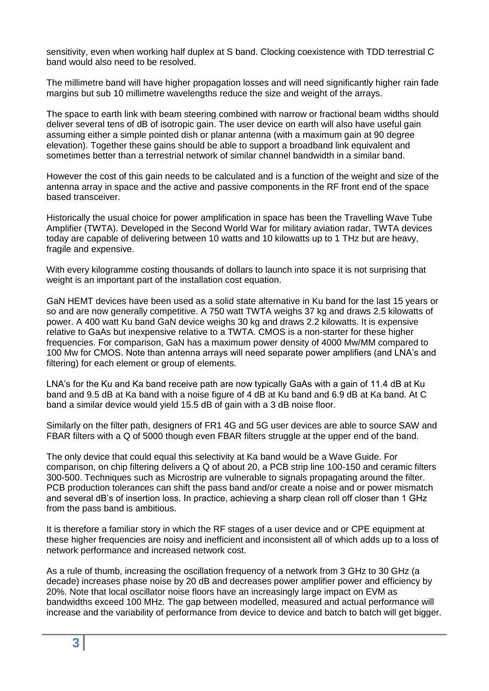sensitivity, even when working half duplex at S band. Clocking coexistence with TDD terrestrial C band would also need to be resolved.

The millimetre band will have higher propagation losses and will need significantly higher rain fade margins but sub 10 millimetre wavelengths reduce the size and weight of the arrays.

The space to earth link with beam steering combined with narrow or fractional beam widths should deliver several tens of dB of isotropic gain. The user device on earth will also have useful gain assuming either a simple pointed dish or planar antenna (with a maximum gain at 90 degree elevation). Together these gains should be able to support a broadband link equivalent and sometimes better than a terrestrial network of similar channel bandwidth in a similar band.

However the cost of this gain needs to be calculated and is a function of the weight and size of the antenna array in space and the active and passive components in the RF front end of the space based transceiver.

Historically the usual choice for power amplification in space has been the Travelling Wave Tube Amplifier (TWTA). Developed in the Second World War for military aviation radar, TWTA devices today are capable of delivering between 10 watts and 10 kilowatts up to 1 THz but are heavy, fragile and expensive.

With every kilogramme costing thousands of dollars to launch into space it is not surprising that weight is an important part of the installation cost equation.

GaN HEMT devices have been used as a solid state alternative in Ku band for the last 15 years or so and are now generally competitive. A 750 watt TWTA weighs 37 kg and draws 2.5 kilowatts of power. A 400 watt Ku band GaN device weighs 30 kg and draws 2.2 kilowatts. It is expensive relative to GaAs but inexpensive relative to a TWTA. CMOS is a non-starter for these higher frequencies. For comparison, GaN has a maximum power density of 4000 Mw/MM compared to 100 Mw for CMOS. Note than antenna arrays will need separate power amplifiers (and LNA's and filtering) for each element or group of elements.

LNA's for the Ku and Ka band receive path are now typically GaAs with a gain of 11.4 dB at Ku band and 9.5 dB at Ka band with a noise figure of 4 dB at Ku band and 6.9 dB at Ka band. At C band a similar device would yield 15.5 dB of gain with a 3 dB noise floor.

Similarly on the filter path, designers of FR1 4G and 5G user devices are able to source SAW and FBAR filters with a Q of 5000 though even FBAR filters struggle at the upper end of the band.

The only device that could equal this selectivity at Ka band would be a Wave Guide. For comparison, on chip filtering delivers a Q of about 20, a PCB strip line 100-150 and ceramic filters 300-500. Techniques such as Microstrip are vulnerable to signals propagating around the filter. PCB production tolerances can shift the pass band and/or create a noise and or power mismatch and several dB's of insertion loss. In practice, achieving a sharp clean roll off closer than 1 GHz from the pass band is ambitious.

It is therefore a familiar story in which the RF stages of a user device and or CPE equipment at these higher frequencies are noisy and inefficient and inconsistent all of which adds up to a loss of network performance and increased network cost.

As a rule of thumb, increasing the oscillation frequency of a network from 3 GHz to 30 GHz (a decade) increases phase noise by 20 dB and decreases power amplifier power and efficiency by 20%. Note that local oscillator noise floors have an increasingly large impact on EVM as bandwidths exceed 100 MHz. The gap between modelled, measured and actual performance will increase and the variability of performance from device to device and batch to batch will get bigger.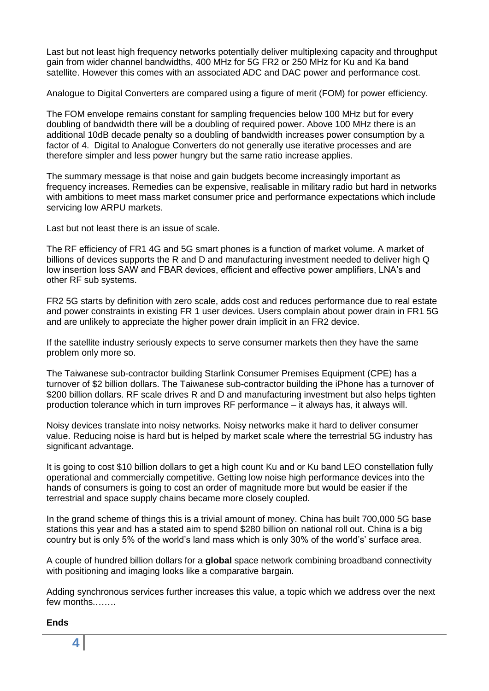Last but not least high frequency networks potentially deliver multiplexing capacity and throughput gain from wider channel bandwidths, 400 MHz for 5G FR2 or 250 MHz for Ku and Ka band satellite. However this comes with an associated ADC and DAC power and performance cost.

Analogue to Digital Converters are compared using a figure of merit (FOM) for power efficiency.

The FOM envelope remains constant for sampling frequencies below 100 MHz but for every doubling of bandwidth there will be a doubling of required power. Above 100 MHz there is an additional 10dB decade penalty so a doubling of bandwidth increases power consumption by a factor of 4. Digital to Analogue Converters do not generally use iterative processes and are therefore simpler and less power hungry but the same ratio increase applies.

The summary message is that noise and gain budgets become increasingly important as frequency increases. Remedies can be expensive, realisable in military radio but hard in networks with ambitions to meet mass market consumer price and performance expectations which include servicing low ARPU markets.

Last but not least there is an issue of scale.

The RF efficiency of FR1 4G and 5G smart phones is a function of market volume. A market of billions of devices supports the R and D and manufacturing investment needed to deliver high Q low insertion loss SAW and FBAR devices, efficient and effective power amplifiers, LNA's and other RF sub systems.

FR2 5G starts by definition with zero scale, adds cost and reduces performance due to real estate and power constraints in existing FR 1 user devices. Users complain about power drain in FR1 5G and are unlikely to appreciate the higher power drain implicit in an FR2 device.

If the satellite industry seriously expects to serve consumer markets then they have the same problem only more so.

The Taiwanese sub-contractor building Starlink Consumer Premises Equipment (CPE) has a turnover of \$2 billion dollars. The Taiwanese sub-contractor building the iPhone has a turnover of \$200 billion dollars. RF scale drives R and D and manufacturing investment but also helps tighten production tolerance which in turn improves RF performance – it always has, it always will.

Noisy devices translate into noisy networks. Noisy networks make it hard to deliver consumer value. Reducing noise is hard but is helped by market scale where the terrestrial 5G industry has significant advantage.

It is going to cost \$10 billion dollars to get a high count Ku and or Ku band LEO constellation fully operational and commercially competitive. Getting low noise high performance devices into the hands of consumers is going to cost an order of magnitude more but would be easier if the terrestrial and space supply chains became more closely coupled.

In the grand scheme of things this is a trivial amount of money. China has built 700,000 5G base stations this year and has a stated aim to spend \$280 billion on national roll out. China is a big country but is only 5% of the world's land mass which is only 30% of the world's' surface area.

A couple of hundred billion dollars for a **global** space network combining broadband connectivity with positioning and imaging looks like a comparative bargain.

Adding synchronous services further increases this value, a topic which we address over the next few months.…….

**Ends**